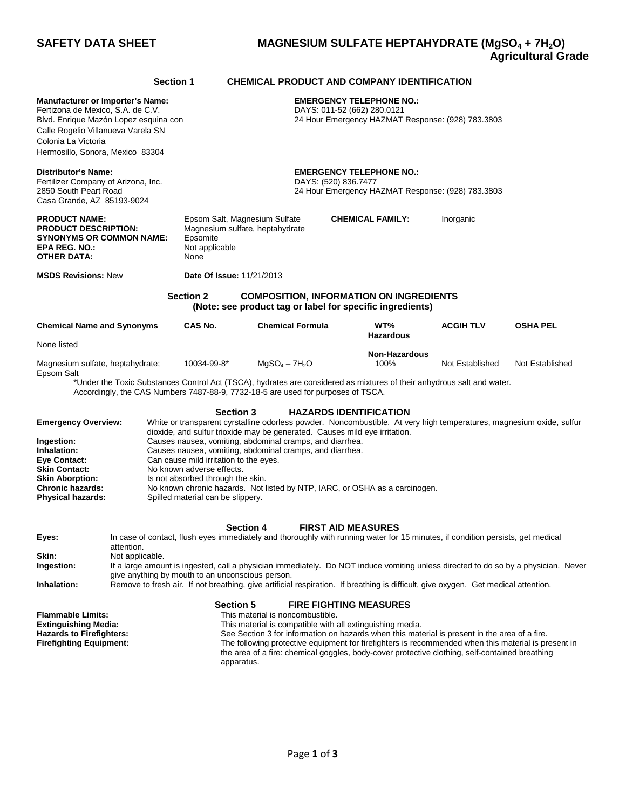## **SAFETY DATA SHEET MAGNESIUM SULFATE HEPTAHYDRATE (MgSO4 + 7H2O) Agricultural Grade**

|                                                                                                                                                                                                                                                                                                                                                                                                                                                                                                                                                                                                                                                                                                                                                                 |                 | Section 1                                                                                                                                                                                            |                                                                                                                                                                                                                                                                                                                                                                                                                                                                                                                                                                                    | <b>CHEMICAL PRODUCT AND COMPANY IDENTIFICATION</b>                                                                                                           |                  |                 |  |  |
|-----------------------------------------------------------------------------------------------------------------------------------------------------------------------------------------------------------------------------------------------------------------------------------------------------------------------------------------------------------------------------------------------------------------------------------------------------------------------------------------------------------------------------------------------------------------------------------------------------------------------------------------------------------------------------------------------------------------------------------------------------------------|-----------------|------------------------------------------------------------------------------------------------------------------------------------------------------------------------------------------------------|------------------------------------------------------------------------------------------------------------------------------------------------------------------------------------------------------------------------------------------------------------------------------------------------------------------------------------------------------------------------------------------------------------------------------------------------------------------------------------------------------------------------------------------------------------------------------------|--------------------------------------------------------------------------------------------------------------------------------------------------------------|------------------|-----------------|--|--|
| <b>Manufacturer or Importer's Name:</b><br>Fertizona de Mexico, S.A. de C.V.<br>Blvd. Enrique Mazón Lopez esquina con<br>Calle Rogelio Villanueva Varela SN<br>Colonia La Victoria<br>Hermosillo, Sonora, Mexico 83304                                                                                                                                                                                                                                                                                                                                                                                                                                                                                                                                          |                 |                                                                                                                                                                                                      |                                                                                                                                                                                                                                                                                                                                                                                                                                                                                                                                                                                    | <b>EMERGENCY TELEPHONE NO.:</b><br>DAYS: 011-52 (662) 280.0121<br>24 Hour Emergency HAZMAT Response: (928) 783.3803                                          |                  |                 |  |  |
| Distributor's Name:<br>Fertilizer Company of Arizona, Inc.<br>2850 South Peart Road<br>Casa Grande, AZ 85193-9024                                                                                                                                                                                                                                                                                                                                                                                                                                                                                                                                                                                                                                               |                 |                                                                                                                                                                                                      | <b>EMERGENCY TELEPHONE NO.:</b><br>DAYS: (520) 836.7477<br>24 Hour Emergency HAZMAT Response: (928) 783.3803                                                                                                                                                                                                                                                                                                                                                                                                                                                                       |                                                                                                                                                              |                  |                 |  |  |
| <b>PRODUCT NAME:</b><br><b>PRODUCT DESCRIPTION:</b><br><b>SYNONYMS OR COMMON NAME:</b><br>EPA REG. NO.:<br><b>OTHER DATA:</b>                                                                                                                                                                                                                                                                                                                                                                                                                                                                                                                                                                                                                                   |                 | Epsomite<br>Not applicable<br>None                                                                                                                                                                   | Epsom Salt, Magnesium Sulfate<br>Magnesium sulfate, heptahydrate                                                                                                                                                                                                                                                                                                                                                                                                                                                                                                                   | <b>CHEMICAL FAMILY:</b>                                                                                                                                      |                  |                 |  |  |
| <b>MSDS Revisions: New</b>                                                                                                                                                                                                                                                                                                                                                                                                                                                                                                                                                                                                                                                                                                                                      |                 | Date Of Issue: 11/21/2013                                                                                                                                                                            |                                                                                                                                                                                                                                                                                                                                                                                                                                                                                                                                                                                    |                                                                                                                                                              |                  |                 |  |  |
|                                                                                                                                                                                                                                                                                                                                                                                                                                                                                                                                                                                                                                                                                                                                                                 |                 | <b>Section 2</b>                                                                                                                                                                                     |                                                                                                                                                                                                                                                                                                                                                                                                                                                                                                                                                                                    | <b>COMPOSITION, INFORMATION ON INGREDIENTS</b><br>(Note: see product tag or label for specific ingredients)                                                  |                  |                 |  |  |
| <b>Chemical Name and Synonyms</b>                                                                                                                                                                                                                                                                                                                                                                                                                                                                                                                                                                                                                                                                                                                               |                 | CAS No.                                                                                                                                                                                              | <b>Chemical Formula</b>                                                                                                                                                                                                                                                                                                                                                                                                                                                                                                                                                            | WT%<br><b>Hazardous</b>                                                                                                                                      | <b>ACGIH TLV</b> | <b>OSHA PEL</b> |  |  |
| None listed                                                                                                                                                                                                                                                                                                                                                                                                                                                                                                                                                                                                                                                                                                                                                     |                 |                                                                                                                                                                                                      |                                                                                                                                                                                                                                                                                                                                                                                                                                                                                                                                                                                    | <b>Non-Hazardous</b>                                                                                                                                         |                  |                 |  |  |
| Magnesium sulfate, heptahydrate;<br>Epsom Salt                                                                                                                                                                                                                                                                                                                                                                                                                                                                                                                                                                                                                                                                                                                  |                 | 10034-99-8*                                                                                                                                                                                          | 100%<br>$MqSO4 - 7H2O$<br>Not Established<br>Not Established<br>*Under the Toxic Substances Control Act (TSCA), hydrates are considered as mixtures of their anhydrous salt and water.<br>Accordingly, the CAS Numbers 7487-88-9, 7732-18-5 are used for purposes of TSCA.                                                                                                                                                                                                                                                                                                         |                                                                                                                                                              |                  |                 |  |  |
| <b>Emergency Overview:</b><br>Ingestion:<br>Inhalation:<br>Eye Contact:<br><b>Skin Contact:</b><br><b>Skin Aborption:</b><br><b>Chronic hazards:</b><br><b>Physical hazards:</b>                                                                                                                                                                                                                                                                                                                                                                                                                                                                                                                                                                                |                 | No known adverse effects.                                                                                                                                                                            | <b>Section 3</b><br><b>HAZARDS IDENTIFICATION</b><br>White or transparent cyrstalline odorless powder. Noncombustible. At very high temperatures, magnesium oxide, sulfur<br>dioxide, and sulfur trioxide may be generated. Causes mild eye irritation.<br>Causes nausea, vomiting, abdominal cramps, and diarrhea.<br>Causes nausea, vomiting, abdominal cramps, and diarrhea.<br>Can cause mild irritation to the eyes.<br>Is not absorbed through the skin.<br>No known chronic hazards. Not listed by NTP, IARC, or OSHA as a carcinogen.<br>Spilled material can be slippery. |                                                                                                                                                              |                  |                 |  |  |
| Eyes:                                                                                                                                                                                                                                                                                                                                                                                                                                                                                                                                                                                                                                                                                                                                                           |                 |                                                                                                                                                                                                      | <b>Section 4</b>                                                                                                                                                                                                                                                                                                                                                                                                                                                                                                                                                                   | <b>FIRST AID MEASURES</b><br>In case of contact, flush eyes immediately and thoroughly with running water for 15 minutes, if condition persists, get medical |                  |                 |  |  |
| Skin:<br>Ingestion:                                                                                                                                                                                                                                                                                                                                                                                                                                                                                                                                                                                                                                                                                                                                             | Not applicable. | attention.<br>If a large amount is ingested, call a physician immediately. Do NOT induce vomiting unless directed to do so by a physician. Never<br>give anything by mouth to an unconscious person. |                                                                                                                                                                                                                                                                                                                                                                                                                                                                                                                                                                                    |                                                                                                                                                              |                  |                 |  |  |
| Remove to fresh air. If not breathing, give artificial respiration. If breathing is difficult, give oxygen. Get medical attention.<br>Inhalation:<br><b>Section 5</b><br><b>FIRE FIGHTING MEASURES</b><br><b>Flammable Limits:</b><br>This material is noncombustible.<br>This material is compatible with all extinguishing media.<br><b>Extinguishing Media:</b><br><b>Hazards to Firefighters:</b><br>See Section 3 for information on hazards when this material is present in the area of a fire.<br><b>Firefighting Equipment:</b><br>The following protective equipment for firefighters is recommended when this material is present in<br>the area of a fire: chemical goggles, body-cover protective clothing, self-contained breathing<br>apparatus. |                 |                                                                                                                                                                                                      |                                                                                                                                                                                                                                                                                                                                                                                                                                                                                                                                                                                    |                                                                                                                                                              |                  |                 |  |  |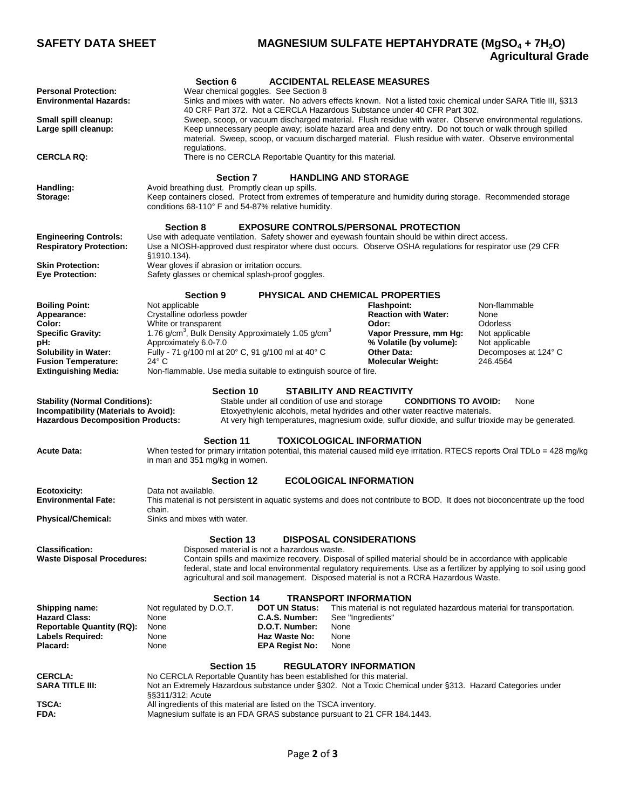## **SAFETY DATA SHEET MAGNESIUM SULFATE HEPTAHYDRATE (MgSO4 + 7H2O) Agricultural Grade**

|                                                                                                                                                                                                                                                                                                                                                                                                                                                                | <b>Section 6</b>                                                                                                                                                                                                                                                                                                                                                                                          |                                             |                   | <b>ACCIDENTAL RELEASE MEASURES</b>                                                                          |                                                                                                                           |  |  |  |
|----------------------------------------------------------------------------------------------------------------------------------------------------------------------------------------------------------------------------------------------------------------------------------------------------------------------------------------------------------------------------------------------------------------------------------------------------------------|-----------------------------------------------------------------------------------------------------------------------------------------------------------------------------------------------------------------------------------------------------------------------------------------------------------------------------------------------------------------------------------------------------------|---------------------------------------------|-------------------|-------------------------------------------------------------------------------------------------------------|---------------------------------------------------------------------------------------------------------------------------|--|--|--|
| <b>Personal Protection:</b><br>Wear chemical goggles. See Section 8<br><b>Environmental Hazards:</b>                                                                                                                                                                                                                                                                                                                                                           |                                                                                                                                                                                                                                                                                                                                                                                                           |                                             |                   | Sinks and mixes with water. No advers effects known. Not a listed toxic chemical under SARA Title III, §313 |                                                                                                                           |  |  |  |
| Small spill cleanup:<br>Large spill cleanup:                                                                                                                                                                                                                                                                                                                                                                                                                   | 40 CRF Part 372. Not a CERCLA Hazardous Substance under 40 CFR Part 302.<br>Sweep, scoop, or vacuum discharged material. Flush residue with water. Observe environmental regulations.<br>Keep unnecessary people away; isolate hazard area and deny entry. Do not touch or walk through spilled<br>material. Sweep, scoop, or vacuum discharged material. Flush residue with water. Observe environmental |                                             |                   |                                                                                                             |                                                                                                                           |  |  |  |
| regulations.<br>There is no CERCLA Reportable Quantity for this material.<br><b>CERCLA RQ:</b>                                                                                                                                                                                                                                                                                                                                                                 |                                                                                                                                                                                                                                                                                                                                                                                                           |                                             |                   |                                                                                                             |                                                                                                                           |  |  |  |
| <b>Section 7</b><br><b>HANDLING AND STORAGE</b>                                                                                                                                                                                                                                                                                                                                                                                                                |                                                                                                                                                                                                                                                                                                                                                                                                           |                                             |                   |                                                                                                             |                                                                                                                           |  |  |  |
| Handling:<br>Avoid breathing dust. Promptly clean up spills.<br>Keep containers closed. Protect from extremes of temperature and humidity during storage. Recommended storage<br>Storage:<br>conditions 68-110° F and 54-87% relative humidity.                                                                                                                                                                                                                |                                                                                                                                                                                                                                                                                                                                                                                                           |                                             |                   |                                                                                                             |                                                                                                                           |  |  |  |
| <b>Section 8</b><br><b>EXPOSURE CONTROLS/PERSONAL PROTECTION</b>                                                                                                                                                                                                                                                                                                                                                                                               |                                                                                                                                                                                                                                                                                                                                                                                                           |                                             |                   |                                                                                                             |                                                                                                                           |  |  |  |
| <b>Engineering Controls:</b><br><b>Respiratory Protection:</b>                                                                                                                                                                                                                                                                                                                                                                                                 | Use with adequate ventilation. Safety shower and eyewash fountain should be within direct access.<br>Use a NIOSH-approved dust respirator where dust occurs. Observe OSHA regulations for respirator use (29 CFR<br>§1910.134).                                                                                                                                                                           |                                             |                   |                                                                                                             |                                                                                                                           |  |  |  |
| <b>Skin Protection:</b><br><b>Eye Protection:</b>                                                                                                                                                                                                                                                                                                                                                                                                              | Wear gloves if abrasion or irritation occurs.<br>Safety glasses or chemical splash-proof goggles.                                                                                                                                                                                                                                                                                                         |                                             |                   |                                                                                                             |                                                                                                                           |  |  |  |
| <b>Section 9</b><br>PHYSICAL AND CHEMICAL PROPERTIES                                                                                                                                                                                                                                                                                                                                                                                                           |                                                                                                                                                                                                                                                                                                                                                                                                           |                                             |                   |                                                                                                             |                                                                                                                           |  |  |  |
| <b>Boiling Point:</b><br>Appearance:                                                                                                                                                                                                                                                                                                                                                                                                                           | Not applicable<br>Crystalline odorless powder                                                                                                                                                                                                                                                                                                                                                             |                                             |                   | <b>Flashpoint:</b><br><b>Reaction with Water:</b>                                                           | Non-flammable<br>None                                                                                                     |  |  |  |
| Color:<br><b>Specific Gravity:</b>                                                                                                                                                                                                                                                                                                                                                                                                                             | White or transparent                                                                                                                                                                                                                                                                                                                                                                                      |                                             |                   | Odor:<br>Vapor Pressure, mm Hg:                                                                             | Odorless<br>Not applicable                                                                                                |  |  |  |
| pH:                                                                                                                                                                                                                                                                                                                                                                                                                                                            | 1.76 g/cm <sup>3</sup> , Bulk Density Approximately 1.05 g/cm <sup>3</sup><br>Approximately 6.0-7.0                                                                                                                                                                                                                                                                                                       |                                             |                   | % Volatile (by volume):                                                                                     | Not applicable                                                                                                            |  |  |  |
| <b>Solubility in Water:</b><br><b>Fusion Temperature:</b><br><b>Extinguishing Media:</b>                                                                                                                                                                                                                                                                                                                                                                       | Fully - 71 g/100 ml at 20° C, 91 g/100 ml at 40° C<br>$24^{\circ}$ C<br>Non-flammable. Use media suitable to extinguish source of fire.                                                                                                                                                                                                                                                                   |                                             |                   | <b>Other Data:</b><br><b>Molecular Weight:</b>                                                              | Decomposes at 124° C<br>246.4564                                                                                          |  |  |  |
|                                                                                                                                                                                                                                                                                                                                                                                                                                                                |                                                                                                                                                                                                                                                                                                                                                                                                           |                                             |                   |                                                                                                             |                                                                                                                           |  |  |  |
| <b>Section 10</b><br><b>STABILITY AND REACTIVITY</b><br><b>Stability (Normal Conditions):</b><br>Stable under all condition of use and storage<br><b>CONDITIONS TO AVOID:</b><br>None<br>Etoxyethylenic alcohols, metal hydrides and other water reactive materials.<br>Incompatibility (Materials to Avoid):<br><b>Hazardous Decomposition Products:</b><br>At very high temperatures, magnesium oxide, sulfur dioxide, and sulfur trioxide may be generated. |                                                                                                                                                                                                                                                                                                                                                                                                           |                                             |                   |                                                                                                             |                                                                                                                           |  |  |  |
| <b>Section 11</b><br><b>TOXICOLOGICAL INFORMATION</b><br>When tested for primary irritation potential, this material caused mild eye irritation. RTECS reports Oral TDLo = 428 mg/kg<br><b>Acute Data:</b><br>in man and 351 mg/kg in women.                                                                                                                                                                                                                   |                                                                                                                                                                                                                                                                                                                                                                                                           |                                             |                   |                                                                                                             |                                                                                                                           |  |  |  |
|                                                                                                                                                                                                                                                                                                                                                                                                                                                                | <b>Section 12</b>                                                                                                                                                                                                                                                                                                                                                                                         |                                             |                   | <b>ECOLOGICAL INFORMATION</b>                                                                               |                                                                                                                           |  |  |  |
| Ecotoxicity:<br><b>Environmental Fate:</b>                                                                                                                                                                                                                                                                                                                                                                                                                     | Data not available.<br>chain.                                                                                                                                                                                                                                                                                                                                                                             |                                             |                   |                                                                                                             | This material is not persistent in aquatic systems and does not contribute to BOD. It does not bioconcentrate up the food |  |  |  |
| <b>Physical/Chemical:</b>                                                                                                                                                                                                                                                                                                                                                                                                                                      | Sinks and mixes with water.                                                                                                                                                                                                                                                                                                                                                                               |                                             |                   |                                                                                                             |                                                                                                                           |  |  |  |
|                                                                                                                                                                                                                                                                                                                                                                                                                                                                | <b>Section 13</b>                                                                                                                                                                                                                                                                                                                                                                                         |                                             |                   | <b>DISPOSAL CONSIDERATIONS</b>                                                                              |                                                                                                                           |  |  |  |
| <b>Classification:</b><br><b>Waste Disposal Procedures:</b>                                                                                                                                                                                                                                                                                                                                                                                                    |                                                                                                                                                                                                                                                                                                                                                                                                           | Disposed material is not a hazardous waste. |                   | Contain spills and maximize recovery. Disposal of spilled material should be in accordance with applicable  |                                                                                                                           |  |  |  |
|                                                                                                                                                                                                                                                                                                                                                                                                                                                                |                                                                                                                                                                                                                                                                                                                                                                                                           |                                             |                   | agricultural and soil management. Disposed material is not a RCRA Hazardous Waste.                          | federal, state and local environmental regulatory requirements. Use as a fertilizer by applying to soil using good        |  |  |  |
|                                                                                                                                                                                                                                                                                                                                                                                                                                                                | <b>Section 14</b>                                                                                                                                                                                                                                                                                                                                                                                         |                                             |                   | <b>TRANSPORT INFORMATION</b>                                                                                |                                                                                                                           |  |  |  |
| Shipping name:<br><b>Hazard Class:</b>                                                                                                                                                                                                                                                                                                                                                                                                                         | Not regulated by D.O.T.<br>None                                                                                                                                                                                                                                                                                                                                                                           | <b>DOT UN Status:</b><br>C.A.S. Number:     | See "Ingredients" | This material is not regulated hazardous material for transportation.                                       |                                                                                                                           |  |  |  |
| <b>Reportable Quantity (RQ):</b><br>Labels Required:                                                                                                                                                                                                                                                                                                                                                                                                           | None<br>None                                                                                                                                                                                                                                                                                                                                                                                              | D.O.T. Number:<br>Haz Waste No:             | None<br>None      |                                                                                                             |                                                                                                                           |  |  |  |
| Placard:                                                                                                                                                                                                                                                                                                                                                                                                                                                       | None                                                                                                                                                                                                                                                                                                                                                                                                      | <b>EPA Regist No:</b>                       | None              |                                                                                                             |                                                                                                                           |  |  |  |
| <b>Section 15</b><br><b>REGULATORY INFORMATION</b>                                                                                                                                                                                                                                                                                                                                                                                                             |                                                                                                                                                                                                                                                                                                                                                                                                           |                                             |                   |                                                                                                             |                                                                                                                           |  |  |  |
| No CERCLA Reportable Quantity has been established for this material.<br><b>CERCLA:</b><br><b>SARA TITLE III:</b><br>Not an Extremely Hazardous substance under §302. Not a Toxic Chemical under §313. Hazard Categories under<br>§§311/312: Acute                                                                                                                                                                                                             |                                                                                                                                                                                                                                                                                                                                                                                                           |                                             |                   |                                                                                                             |                                                                                                                           |  |  |  |
| All ingredients of this material are listed on the TSCA inventory.<br>TSCA:<br>Magnesium sulfate is an FDA GRAS substance pursuant to 21 CFR 184.1443.<br>FDA:                                                                                                                                                                                                                                                                                                 |                                                                                                                                                                                                                                                                                                                                                                                                           |                                             |                   |                                                                                                             |                                                                                                                           |  |  |  |